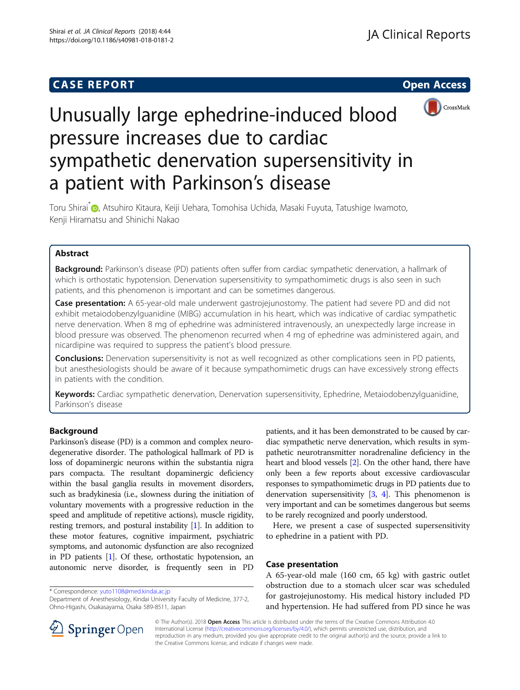## **CASE REPORT CASE REPORT CASE REPORT**





# Unusually large ephedrine-induced blood pressure increases due to cardiac sympathetic denervation supersensitivity in a patient with Parkinson's disease

Toru Shirai<sup>\*</sup> [,](http://orcid.org/0000-0002-0905-5708) Atsuhiro Kitaura, Keiji Uehara, Tomohisa Uchida, Masaki Fuyuta, Tatushige Iwamoto, Kenji Hiramatsu and Shinichi Nakao

## Abstract

**Background:** Parkinson's disease (PD) patients often suffer from cardiac sympathetic denervation, a hallmark of which is orthostatic hypotension. Denervation supersensitivity to sympathomimetic drugs is also seen in such patients, and this phenomenon is important and can be sometimes dangerous.

**Case presentation:** A 65-year-old male underwent gastrojejunostomy. The patient had severe PD and did not exhibit metaiodobenzylguanidine (MIBG) accumulation in his heart, which was indicative of cardiac sympathetic nerve denervation. When 8 mg of ephedrine was administered intravenously, an unexpectedly large increase in blood pressure was observed. The phenomenon recurred when 4 mg of ephedrine was administered again, and nicardipine was required to suppress the patient's blood pressure.

**Conclusions:** Denervation supersensitivity is not as well recognized as other complications seen in PD patients, but anesthesiologists should be aware of it because sympathomimetic drugs can have excessively strong effects in patients with the condition.

Keywords: Cardiac sympathetic denervation, Denervation supersensitivity, Ephedrine, Metaiodobenzylguanidine, Parkinson's disease

## Background

Parkinson's disease (PD) is a common and complex neurodegenerative disorder. The pathological hallmark of PD is loss of dopaminergic neurons within the substantia nigra pars compacta. The resultant dopaminergic deficiency within the basal ganglia results in movement disorders, such as bradykinesia (i.e., slowness during the initiation of voluntary movements with a progressive reduction in the speed and amplitude of repetitive actions), muscle rigidity, resting tremors, and postural instability [\[1](#page-3-0)]. In addition to these motor features, cognitive impairment, psychiatric symptoms, and autonomic dysfunction are also recognized in PD patients [\[1\]](#page-3-0). Of these, orthostatic hypotension, an autonomic nerve disorder, is frequently seen in PD

\* Correspondence: [yuto1108@med.kindai.ac.jp](mailto:yuto1108@med.kindai.ac.jp)

Department of Anesthesiology, Kindai University Faculty of Medicine, 377-2, Ohno-Higashi, Osakasayama, Osaka 589-8511, Japan

patients, and it has been demonstrated to be caused by cardiac sympathetic nerve denervation, which results in sympathetic neurotransmitter noradrenaline deficiency in the heart and blood vessels [[2](#page-3-0)]. On the other hand, there have only been a few reports about excessive cardiovascular responses to sympathomimetic drugs in PD patients due to denervation supersensitivity  $[3, 4]$  $[3, 4]$  $[3, 4]$ . This phenomenon is very important and can be sometimes dangerous but seems to be rarely recognized and poorly understood.

Here, we present a case of suspected supersensitivity to ephedrine in a patient with PD.

### Case presentation

A 65-year-old male (160 cm, 65 kg) with gastric outlet obstruction due to a stomach ulcer scar was scheduled for gastrojejunostomy. His medical history included PD and hypertension. He had suffered from PD since he was



© The Author(s). 2018 Open Access This article is distributed under the terms of the Creative Commons Attribution 4.0 International License ([http://creativecommons.org/licenses/by/4.0/\)](http://creativecommons.org/licenses/by/4.0/), which permits unrestricted use, distribution, and reproduction in any medium, provided you give appropriate credit to the original author(s) and the source, provide a link to the Creative Commons license, and indicate if changes were made.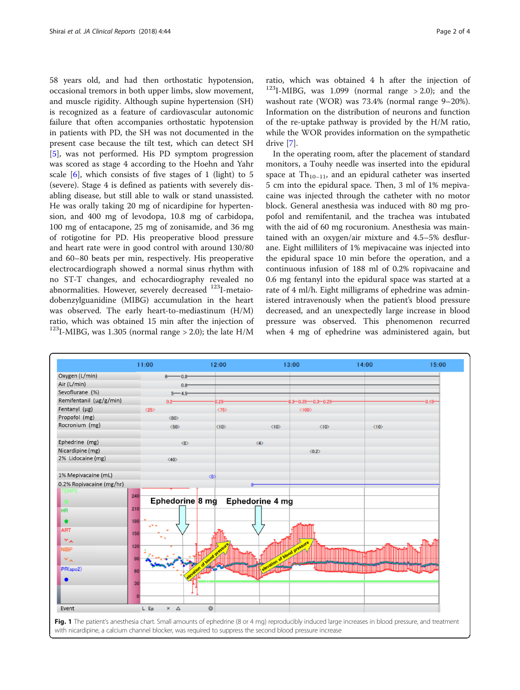<span id="page-1-0"></span>58 years old, and had then orthostatic hypotension, occasional tremors in both upper limbs, slow movement, and muscle rigidity. Although supine hypertension (SH) is recognized as a feature of cardiovascular autonomic failure that often accompanies orthostatic hypotension in patients with PD, the SH was not documented in the present case because the tilt test, which can detect SH [[5\]](#page-3-0), was not performed. His PD symptom progression was scored as stage 4 according to the Hoehn and Yahr scale  $[6]$  $[6]$ , which consists of five stages of 1 (light) to 5 (severe). Stage 4 is defined as patients with severely disabling disease, but still able to walk or stand unassisted. He was orally taking 20 mg of nicardipine for hypertension, and 400 mg of levodopa, 10.8 mg of carbidopa, 100 mg of entacapone, 25 mg of zonisamide, and 36 mg of rotigotine for PD. His preoperative blood pressure and heart rate were in good control with around 130/80 and 60–80 beats per min, respectively. His preoperative electrocardiograph showed a normal sinus rhythm with no ST-T changes, and echocardiography revealed no abnormalities. However, severely decreased <sup>123</sup>I-metaiodobenzylguanidine (MIBG) accumulation in the heart was observed. The early heart-to-mediastinum (H/M) ratio, which was obtained 15 min after the injection of <sup>123</sup>I-MIBG, was 1.305 (normal range  $>$  2.0); the late H/M

ratio, which was obtained 4 h after the injection of  $123$ I-MIBG, was 1.099 (normal range > 2.0); and the washout rate (WOR) was 73.4% (normal range 9–20%). Information on the distribution of neurons and function of the re-uptake pathway is provided by the H/M ratio, while the WOR provides information on the sympathetic drive [\[7](#page-3-0)].

In the operating room, after the placement of standard monitors, a Touhy needle was inserted into the epidural space at  $Th_{10-11}$ , and an epidural catheter was inserted 5 cm into the epidural space. Then, 3 ml of 1% mepivacaine was injected through the catheter with no motor block. General anesthesia was induced with 80 mg propofol and remifentanil, and the trachea was intubated with the aid of 60 mg rocuronium. Anesthesia was maintained with an oxygen/air mixture and 4.5–5% desflurane. Eight milliliters of 1% mepivacaine was injected into the epidural space 10 min before the operation, and a continuous infusion of 188 ml of 0.2% ropivacaine and 0.6 mg fentanyl into the epidural space was started at a rate of 4 ml/h. Eight milligrams of ephedrine was administered intravenously when the patient's blood pressure decreased, and an unexpectedly large increase in blood pressure was observed. This phenomenon recurred when 4 mg of ephedrine was administered again, but



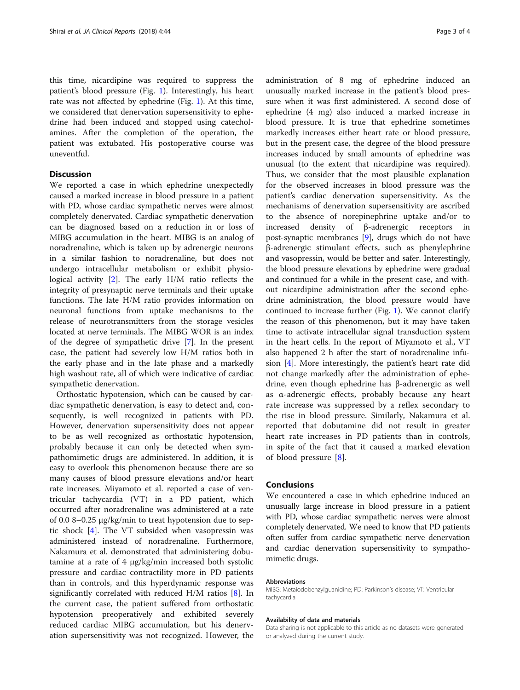this time, nicardipine was required to suppress the patient's blood pressure (Fig. [1\)](#page-1-0). Interestingly, his heart rate was not affected by ephedrine (Fig. [1\)](#page-1-0). At this time, we considered that denervation supersensitivity to ephedrine had been induced and stopped using catecholamines. After the completion of the operation, the patient was extubated. His postoperative course was uneventful.

## **Discussion**

We reported a case in which ephedrine unexpectedly caused a marked increase in blood pressure in a patient with PD, whose cardiac sympathetic nerves were almost completely denervated. Cardiac sympathetic denervation can be diagnosed based on a reduction in or loss of MIBG accumulation in the heart. MIBG is an analog of noradrenaline, which is taken up by adrenergic neurons in a similar fashion to noradrenaline, but does not undergo intracellular metabolism or exhibit physiological activity [\[2](#page-3-0)]. The early H/M ratio reflects the integrity of presynaptic nerve terminals and their uptake functions. The late H/M ratio provides information on neuronal functions from uptake mechanisms to the release of neurotransmitters from the storage vesicles located at nerve terminals. The MIBG WOR is an index of the degree of sympathetic drive [\[7\]](#page-3-0). In the present case, the patient had severely low H/M ratios both in the early phase and in the late phase and a markedly high washout rate, all of which were indicative of cardiac sympathetic denervation.

Orthostatic hypotension, which can be caused by cardiac sympathetic denervation, is easy to detect and, consequently, is well recognized in patients with PD. However, denervation supersensitivity does not appear to be as well recognized as orthostatic hypotension, probably because it can only be detected when sympathomimetic drugs are administered. In addition, it is easy to overlook this phenomenon because there are so many causes of blood pressure elevations and/or heart rate increases. Miyamoto et al. reported a case of ventricular tachycardia (VT) in a PD patient, which occurred after noradrenaline was administered at a rate of 0.0 8–0.25 μg/kg/min to treat hypotension due to septic shock [\[4](#page-3-0)]. The VT subsided when vasopressin was administered instead of noradrenaline. Furthermore, Nakamura et al. demonstrated that administering dobutamine at a rate of 4 μg/kg/min increased both systolic pressure and cardiac contractility more in PD patients than in controls, and this hyperdynamic response was significantly correlated with reduced H/M ratios [[8](#page-3-0)]. In the current case, the patient suffered from orthostatic hypotension preoperatively and exhibited severely reduced cardiac MIBG accumulation, but his denervation supersensitivity was not recognized. However, the

administration of 8 mg of ephedrine induced an unusually marked increase in the patient's blood pressure when it was first administered. A second dose of ephedrine (4 mg) also induced a marked increase in blood pressure. It is true that ephedrine sometimes markedly increases either heart rate or blood pressure, but in the present case, the degree of the blood pressure increases induced by small amounts of ephedrine was unusual (to the extent that nicardipine was required). Thus, we consider that the most plausible explanation for the observed increases in blood pressure was the patient's cardiac denervation supersensitivity. As the mechanisms of denervation supersensitivity are ascribed to the absence of norepinephrine uptake and/or to increased density of β-adrenergic receptors in post-synaptic membranes [[9\]](#page-3-0), drugs which do not have β-adrenergic stimulant effects, such as phenylephrine and vasopressin, would be better and safer. Interestingly, the blood pressure elevations by ephedrine were gradual and continued for a while in the present case, and without nicardipine administration after the second ephedrine administration, the blood pressure would have continued to increase further (Fig. [1\)](#page-1-0). We cannot clarify the reason of this phenomenon, but it may have taken time to activate intracellular signal transduction system in the heart cells. In the report of Miyamoto et al., VT also happened 2 h after the start of noradrenaline infusion [[4\]](#page-3-0). More interestingly, the patient's heart rate did not change markedly after the administration of ephedrine, even though ephedrine has β-adrenergic as well as α-adrenergic effects, probably because any heart rate increase was suppressed by a reflex secondary to the rise in blood pressure. Similarly, Nakamura et al. reported that dobutamine did not result in greater heart rate increases in PD patients than in controls, in spite of the fact that it caused a marked elevation of blood pressure [[8\]](#page-3-0).

#### **Conclusions**

We encountered a case in which ephedrine induced an unusually large increase in blood pressure in a patient with PD, whose cardiac sympathetic nerves were almost completely denervated. We need to know that PD patients often suffer from cardiac sympathetic nerve denervation and cardiac denervation supersensitivity to sympathomimetic drugs.

#### Abbreviations

MIBG: Metaiodobenzylguanidine; PD: Parkinson's disease; VT: Ventricular tachycardia

#### Availability of data and materials

Data sharing is not applicable to this article as no datasets were generated or analyzed during the current study.